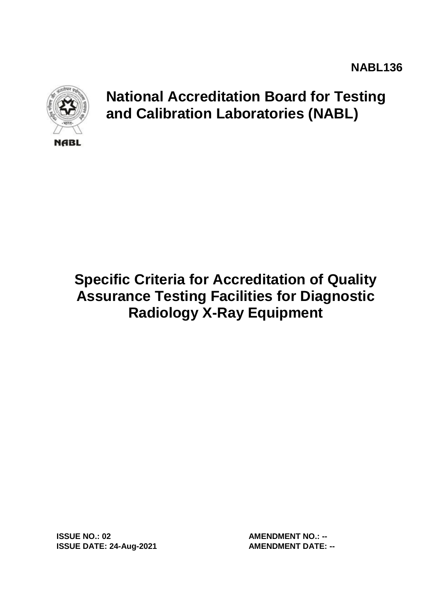

# **National Accreditation Board for Testing and Calibration Laboratories (NABL)**

# **Specific Criteria for Accreditation of Quality Assurance Testing Facilities for Diagnostic Radiology X-Ray Equipment**

**ISSUE NO.: 02 AMENDMENT NO.: -- ISSUE DATE: 24-Aug-2021 AMENDMENT DATE: --**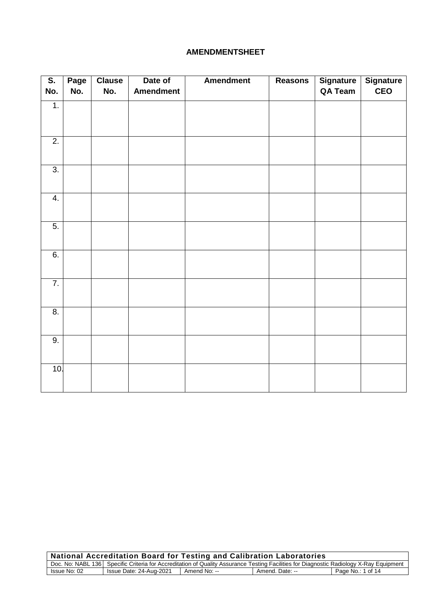#### **AMENDMENTSHEET**

| $\overline{\mathsf{S}}$ . | Page | <b>Clause</b> | Date of          | <b>Amendment</b> | <b>Reasons</b> | <b>Signature</b> | <b>Signature</b> |
|---------------------------|------|---------------|------------------|------------------|----------------|------------------|------------------|
| No.                       | No.  | No.           | <b>Amendment</b> |                  |                | QA Team          | <b>CEO</b>       |
| 1.                        |      |               |                  |                  |                |                  |                  |
|                           |      |               |                  |                  |                |                  |                  |
| $\overline{2}$ .          |      |               |                  |                  |                |                  |                  |
|                           |      |               |                  |                  |                |                  |                  |
| $\overline{3}$ .          |      |               |                  |                  |                |                  |                  |
|                           |      |               |                  |                  |                |                  |                  |
| 4.                        |      |               |                  |                  |                |                  |                  |
|                           |      |               |                  |                  |                |                  |                  |
| 5.                        |      |               |                  |                  |                |                  |                  |
|                           |      |               |                  |                  |                |                  |                  |
| 6.                        |      |               |                  |                  |                |                  |                  |
|                           |      |               |                  |                  |                |                  |                  |
| $\overline{7}$ .          |      |               |                  |                  |                |                  |                  |
|                           |      |               |                  |                  |                |                  |                  |
| $\overline{8}$ .          |      |               |                  |                  |                |                  |                  |
|                           |      |               |                  |                  |                |                  |                  |
| $\overline{9}$ .          |      |               |                  |                  |                |                  |                  |
|                           |      |               |                  |                  |                |                  |                  |
| 10.                       |      |               |                  |                  |                |                  |                  |
|                           |      |               |                  |                  |                |                  |                  |

| National Accreditation Board for Testing and Calibration Laboratories                                                                  |                         |              |                 |                   |  |
|----------------------------------------------------------------------------------------------------------------------------------------|-------------------------|--------------|-----------------|-------------------|--|
| Doc. No: NABL 136 Specific Criteria for Accreditation of Quality Assurance Testing Facilities for Diagnostic Radiology X-Ray Equipment |                         |              |                 |                   |  |
| Issue No: 02                                                                                                                           | Issue Date: 24-Aug-2021 | Amend No: -- | Amend. Date: -- | Page No.: 1 of 14 |  |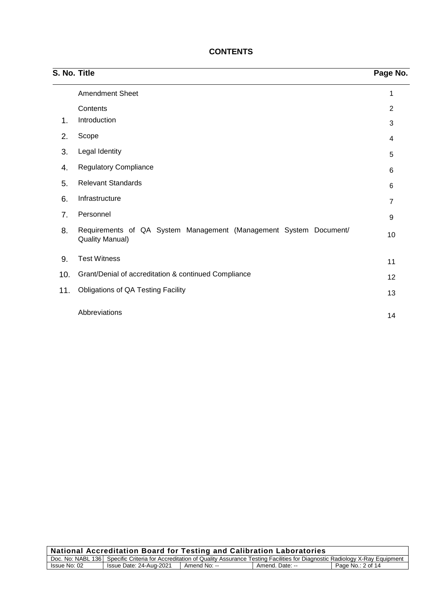| S. No. Title |                                                                                             | Page No.       |
|--------------|---------------------------------------------------------------------------------------------|----------------|
|              | <b>Amendment Sheet</b>                                                                      | 1              |
|              | Contents                                                                                    | 2              |
| 1.           | Introduction                                                                                | 3              |
| 2.           | Scope                                                                                       | 4              |
| 3.           | Legal Identity                                                                              | 5              |
| 4.           | <b>Regulatory Compliance</b>                                                                | 6              |
| 5.           | <b>Relevant Standards</b>                                                                   | 6              |
| 6.           | Infrastructure                                                                              | $\overline{7}$ |
| 7.           | Personnel                                                                                   | 9              |
| 8.           | Requirements of QA System Management (Management System Document/<br><b>Quality Manual)</b> | 10             |
| 9.           | <b>Test Witness</b>                                                                         | 11             |
| 10.          | Grant/Denial of accreditation & continued Compliance                                        | 12             |
| 11.          | <b>Obligations of QA Testing Facility</b>                                                   | 13             |
|              | Abbreviations                                                                               | 14             |

# **CONTENTS**

| National Accreditation Board for Testing and Calibration Laboratories                                                                  |                         |              |                 |                   |  |
|----------------------------------------------------------------------------------------------------------------------------------------|-------------------------|--------------|-----------------|-------------------|--|
| Doc. No: NABL 136 Specific Criteria for Accreditation of Quality Assurance Testing Facilities for Diagnostic Radiology X-Ray Equipment |                         |              |                 |                   |  |
| Issue No: 02                                                                                                                           | Issue Date: 24-Aug-2021 | Amend No: -- | Amend. Date: -- | Page No.: 2 of 14 |  |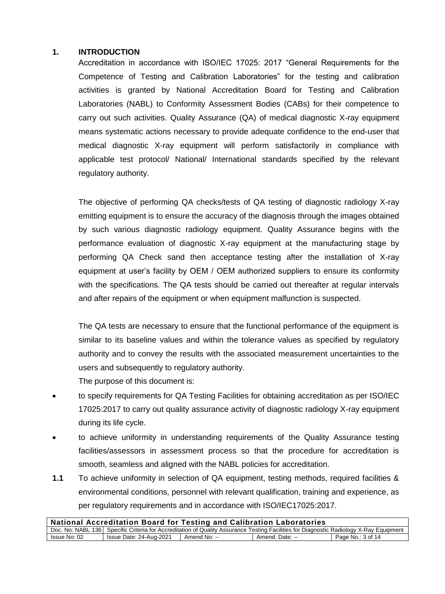#### **1. INTRODUCTION**

Accreditation in accordance with ISO/IEC 17025: 2017 "General Requirements for the Competence of Testing and Calibration Laboratories" for the testing and calibration activities is granted by National Accreditation Board for Testing and Calibration Laboratories (NABL) to Conformity Assessment Bodies (CABs) for their competence to carry out such activities. Quality Assurance (QA) of medical diagnostic X-ray equipment means systematic actions necessary to provide adequate confidence to the end-user that medical diagnostic X-ray equipment will perform satisfactorily in compliance with applicable test protocol/ National/ International standards specified by the relevant regulatory authority.

The objective of performing QA checks/tests of QA testing of diagnostic radiology X-ray emitting equipment is to ensure the accuracy of the diagnosis through the images obtained by such various diagnostic radiology equipment. Quality Assurance begins with the performance evaluation of diagnostic X-ray equipment at the manufacturing stage by performing QA Check sand then acceptance testing after the installation of X-ray equipment at user's facility by OEM / OEM authorized suppliers to ensure its conformity with the specifications. The QA tests should be carried out thereafter at regular intervals and after repairs of the equipment or when equipment malfunction is suspected.

The QA tests are necessary to ensure that the functional performance of the equipment is similar to its baseline values and within the tolerance values as specified by regulatory authority and to convey the results with the associated measurement uncertainties to the users and subsequently to regulatory authority.

The purpose of this document is:

- to specify requirements for QA Testing Facilities for obtaining accreditation as per ISO/IEC 17025:2017 to carry out quality assurance activity of diagnostic radiology X-ray equipment during its life cycle.
- to achieve uniformity in understanding requirements of the Quality Assurance testing facilities/assessors in assessment process so that the procedure for accreditation is smooth, seamless and aligned with the NABL policies for accreditation.
- **1.1** To achieve uniformity in selection of QA equipment, testing methods, required facilities & environmental conditions, personnel with relevant qualification, training and experience, as per regulatory requirements and in accordance with ISO/IEC17025:2017.

| <b>National Accreditation Board for Testing and Calibration Laboratories</b>                                                           |                         |              |                 |                   |  |
|----------------------------------------------------------------------------------------------------------------------------------------|-------------------------|--------------|-----------------|-------------------|--|
| Doc. No: NABL 136 Specific Criteria for Accreditation of Quality Assurance Testing Facilities for Diagnostic Radiology X-Ray Equipment |                         |              |                 |                   |  |
| Issue No: 02                                                                                                                           | Issue Date: 24-Aug-2021 | Amend No: -- | Amend. Date: -- | Page No.: 3 of 14 |  |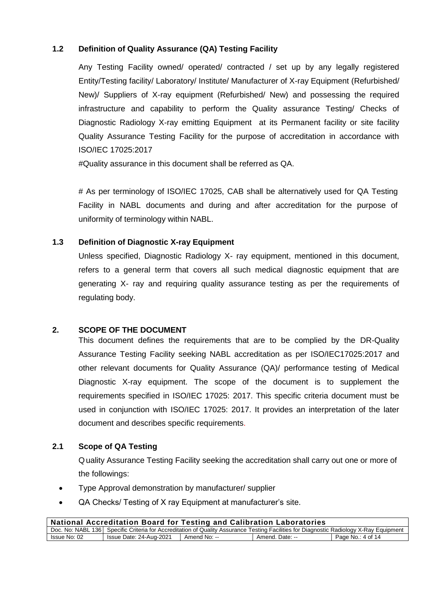# **1.2 Definition of Quality Assurance (QA) Testing Facility**

Any Testing Facility owned/ operated/ contracted / set up by any legally registered Entity/Testing facility/ Laboratory/ Institute/ Manufacturer of X-ray Equipment (Refurbished/ New)/ Suppliers of X-ray equipment (Refurbished/ New) and possessing the required infrastructure and capability to perform the Quality assurance Testing/ Checks of Diagnostic Radiology X-ray emitting Equipment at its Permanent facility or site facility Quality Assurance Testing Facility for the purpose of accreditation in accordance with ISO/IEC 17025:2017

#Quality assurance in this document shall be referred as QA.

# As per terminology of ISO/IEC 17025, CAB shall be alternatively used for QA Testing Facility in NABL documents and during and after accreditation for the purpose of uniformity of terminology within NABL.

# **1.3 Definition of Diagnostic X-ray Equipment**

Unless specified, Diagnostic Radiology X- ray equipment, mentioned in this document, refers to a general term that covers all such medical diagnostic equipment that are generating X- ray and requiring quality assurance testing as per the requirements of regulating body.

#### **2. SCOPE OF THE DOCUMENT**

This document defines the requirements that are to be complied by the DR-Quality Assurance Testing Facility seeking NABL accreditation as per ISO/IEC17025:2017 and other relevant documents for Quality Assurance (QA)/ performance testing of Medical Diagnostic X-ray equipment. The scope of the document is to supplement the requirements specified in ISO/IEC 17025: 2017. This specific criteria document must be used in conjunction with ISO/IEC 17025: 2017. It provides an interpretation of the later document and describes specific requirements.

#### **2.1 Scope of QA Testing**

Quality Assurance Testing Facility seeking the accreditation shall carry out one or more of the followings:

- Type Approval demonstration by manufacturer/ supplier
- QA Checks/ Testing of X ray Equipment at manufacturer's site.

| National Accreditation Board for Testing and Calibration Laboratories                                                                  |                         |              |                 |                   |
|----------------------------------------------------------------------------------------------------------------------------------------|-------------------------|--------------|-----------------|-------------------|
| Doc. No: NABL 136 Specific Criteria for Accreditation of Quality Assurance Testing Facilities for Diagnostic Radiology X-Ray Equipment |                         |              |                 |                   |
| Issue No: 02                                                                                                                           | Issue Date: 24-Aug-2021 | Amend No: -- | Amend. Date: -- | Page No.: 4 of 14 |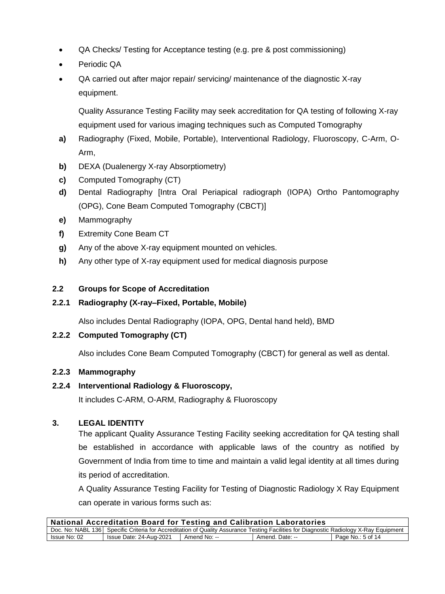- QA Checks/ Testing for Acceptance testing (e.g. pre & post commissioning)
- Periodic QA
- QA carried out after major repair/ servicing/ maintenance of the diagnostic X-ray equipment.

Quality Assurance Testing Facility may seek accreditation for QA testing of following X-ray equipment used for various imaging techniques such as Computed Tomography

- **a)** Radiography (Fixed, Mobile, Portable), Interventional Radiology, Fluoroscopy, C-Arm, O-Arm,
- **b)** DEXA (Dualenergy X-ray Absorptiometry)
- **c)** Computed Tomography (CT)
- **d)** Dental Radiography [Intra Oral Periapical radiograph (IOPA) Ortho Pantomography (OPG), Cone Beam Computed Tomography (CBCT)]
- **e)** Mammography
- **f)** Extremity Cone Beam CT
- **g)** Any of the above X-ray equipment mounted on vehicles.
- **h)** Any other type of X-ray equipment used for medical diagnosis purpose

# **2.2 Groups for Scope of Accreditation**

**2.2.1 Radiography (X-ray–Fixed, Portable, Mobile)**

Also includes Dental Radiography (IOPA, OPG, Dental hand held), BMD

# **2.2.2 Computed Tomography (CT)**

Also includes Cone Beam Computed Tomography (CBCT) for general as well as dental.

#### **2.2.3 Mammography**

#### **2.2.4 Interventional Radiology & Fluoroscopy,**

It includes C-ARM, O-ARM, Radiography & Fluoroscopy

# **3. LEGAL IDENTITY**

The applicant Quality Assurance Testing Facility seeking accreditation for QA testing shall be established in accordance with applicable laws of the country as notified by Government of India from time to time and maintain a valid legal identity at all times during its period of accreditation.

A Quality Assurance Testing Facility for Testing of Diagnostic Radiology X Ray Equipment can operate in various forms such as:

| <b>National Accreditation Board for Testing and Calibration Laboratories</b>                                                           |                         |              |                 |                   |  |
|----------------------------------------------------------------------------------------------------------------------------------------|-------------------------|--------------|-----------------|-------------------|--|
| Doc. No: NABL 136 Specific Criteria for Accreditation of Quality Assurance Testing Facilities for Diagnostic Radiology X-Ray Equipment |                         |              |                 |                   |  |
| Issue No: 02                                                                                                                           | Issue Date: 24-Aug-2021 | Amend No: -- | Amend. Date: -- | Page No.: 5 of 14 |  |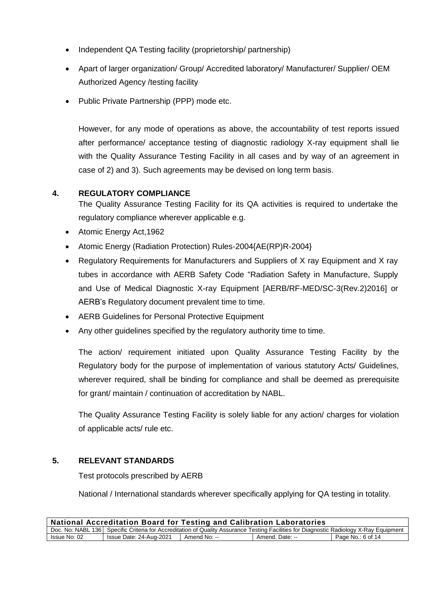- Independent QA Testing facility (proprietorship/ partnership)
- Apart of larger organization/ Group/ Accredited laboratory/ Manufacturer/ Supplier/ OEM Authorized Agency /testing facility
- Public Private Partnership (PPP) mode etc.

However, for any mode of operations as above, the accountability of test reports issued after performance/ acceptance testing of diagnostic radiology X-ray equipment shall lie with the Quality Assurance Testing Facility in all cases and by way of an agreement in case of 2) and 3). Such agreements may be devised on long term basis.

# **4. REGULATORY COMPLIANCE**

The Quality Assurance Testing Facility for its QA activities is required to undertake the regulatory compliance wherever applicable e.g.

- Atomic Energy Act,1962
- Atomic Energy (Radiation Protection) Rules-2004{AE(RP)R-2004}
- Regulatory Requirements for Manufacturers and Suppliers of X ray Equipment and X ray tubes in accordance with AERB Safety Code "Radiation Safety in Manufacture, Supply and Use of Medical Diagnostic X-ray Equipment [AERB/RF-MED/SC-3(Rev.2)2016] or AERB's Regulatory document prevalent time to time.
- AERB Guidelines for Personal Protective Equipment
- Any other guidelines specified by the regulatory authority time to time.

The action/ requirement initiated upon Quality Assurance Testing Facility by the Regulatory body for the purpose of implementation of various statutory Acts/ Guidelines, wherever required, shall be binding for compliance and shall be deemed as prerequisite for grant/ maintain / continuation of accreditation by NABL.

The Quality Assurance Testing Facility is solely liable for any action/ charges for violation of applicable acts/ rule etc.

#### **5. RELEVANT STANDARDS**

Test protocols prescribed by AERB

National / International standards wherever specifically applying for QA testing in totality.

| <b>National Accreditation Board for Testing and Calibration Laboratories</b>                                                           |                         |              |                 |                   |
|----------------------------------------------------------------------------------------------------------------------------------------|-------------------------|--------------|-----------------|-------------------|
| Doc. No: NABL 136 Specific Criteria for Accreditation of Quality Assurance Testing Facilities for Diagnostic Radiology X-Ray Equipment |                         |              |                 |                   |
| Issue No: 02                                                                                                                           | Issue Date: 24-Aug-2021 | Amend No: -- | Amend. Date: -- | Page No.: 6 of 14 |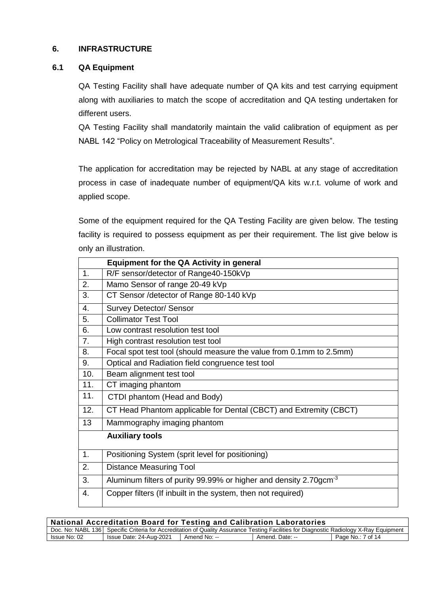# **6. INFRASTRUCTURE**

#### **6.1 QA Equipment**

QA Testing Facility shall have adequate number of QA kits and test carrying equipment along with auxiliaries to match the scope of accreditation and QA testing undertaken for different users.

QA Testing Facility shall mandatorily maintain the valid calibration of equipment as per NABL 142 "Policy on Metrological Traceability of Measurement Results".

The application for accreditation may be rejected by NABL at any stage of accreditation process in case of inadequate number of equipment/QA kits w.r.t. volume of work and applied scope.

Some of the equipment required for the QA Testing Facility are given below. The testing facility is required to possess equipment as per their requirement. The list give below is only an illustration.

|                | <b>Equipment for the QA Activity in general</b>                               |
|----------------|-------------------------------------------------------------------------------|
| 1.             | R/F sensor/detector of Range40-150kVp                                         |
| 2.             | Mamo Sensor of range 20-49 kVp                                                |
| 3.             | CT Sensor / detector of Range 80-140 kVp                                      |
| 4.             | <b>Survey Detector/ Sensor</b>                                                |
| 5.             | <b>Collimator Test Tool</b>                                                   |
| 6.             | Low contrast resolution test tool                                             |
| 7.             | High contrast resolution test tool                                            |
| 8.             | Focal spot test tool (should measure the value from 0.1mm to 2.5mm)           |
| 9.             | Optical and Radiation field congruence test tool                              |
| 10.            | Beam alignment test tool                                                      |
| 11.            | CT imaging phantom                                                            |
| 11.            | CTDI phantom (Head and Body)                                                  |
| 12.            | CT Head Phantom applicable for Dental (CBCT) and Extremity (CBCT)             |
| 13             | Mammography imaging phantom                                                   |
|                | <b>Auxiliary tools</b>                                                        |
| $\mathbf{1}$ . | Positioning System (sprit level for positioning)                              |
| 2.             | <b>Distance Measuring Tool</b>                                                |
| 3.             | Aluminum filters of purity 99.99% or higher and density 2.70gcm <sup>-3</sup> |
| $\mathbf{4}$ . | Copper filters (If inbuilt in the system, then not required)                  |

| National Accreditation Board for Testing and Calibration Laboratories                                                                    |                         |              |                 |                   |
|------------------------------------------------------------------------------------------------------------------------------------------|-------------------------|--------------|-----------------|-------------------|
| Doc. No: NABL 136   Specific Criteria for Accreditation of Quality Assurance Testing Facilities for Diagnostic Radiology X-Ray Equipment |                         |              |                 |                   |
| Issue No: 02                                                                                                                             | Issue Date: 24-Aug-2021 | Amend No: -- | Amend. Date: -- | Page No.: 7 of 14 |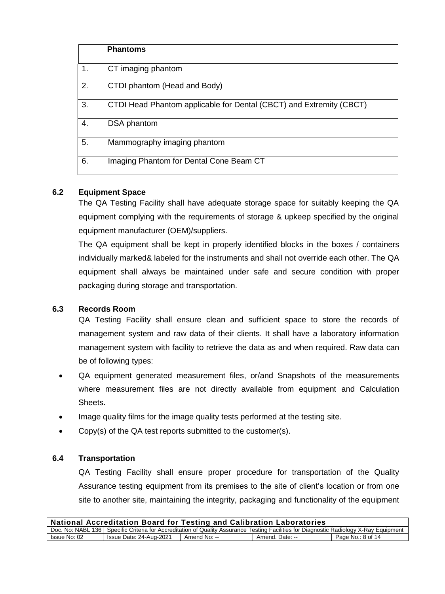|    | <b>Phantoms</b>                                                     |
|----|---------------------------------------------------------------------|
| 1. | CT imaging phantom                                                  |
| 2. | CTDI phantom (Head and Body)                                        |
| 3. | CTDI Head Phantom applicable for Dental (CBCT) and Extremity (CBCT) |
| 4. | DSA phantom                                                         |
| 5. | Mammography imaging phantom                                         |
| 6. | Imaging Phantom for Dental Cone Beam CT                             |

# **6.2 Equipment Space**

The QA Testing Facility shall have adequate storage space for suitably keeping the QA equipment complying with the requirements of storage & upkeep specified by the original equipment manufacturer (OEM)/suppliers.

The QA equipment shall be kept in properly identified blocks in the boxes / containers individually marked& labeled for the instruments and shall not override each other. The QA equipment shall always be maintained under safe and secure condition with proper packaging during storage and transportation.

# **6.3 Records Room**

QA Testing Facility shall ensure clean and sufficient space to store the records of management system and raw data of their clients. It shall have a laboratory information management system with facility to retrieve the data as and when required. Raw data can be of following types:

- QA equipment generated measurement files, or/and Snapshots of the measurements where measurement files are not directly available from equipment and Calculation Sheets.
- Image quality films for the image quality tests performed at the testing site.
- Copy(s) of the QA test reports submitted to the customer(s).

#### **6.4 Transportation**

QA Testing Facility shall ensure proper procedure for transportation of the Quality Assurance testing equipment from its premises to the site of client's location or from one site to another site, maintaining the integrity, packaging and functionality of the equipment

| National Accreditation Board for Testing and Calibration Laboratories                                                                  |                         |              |                 |                   |
|----------------------------------------------------------------------------------------------------------------------------------------|-------------------------|--------------|-----------------|-------------------|
| Doc. No: NABL 136 Specific Criteria for Accreditation of Quality Assurance Testing Facilities for Diagnostic Radiology X-Ray Equipment |                         |              |                 |                   |
| Issue No: 02                                                                                                                           | Issue Date: 24-Aug-2021 | Amend No: -- | Amend. Date: -- | Page No.: 8 of 14 |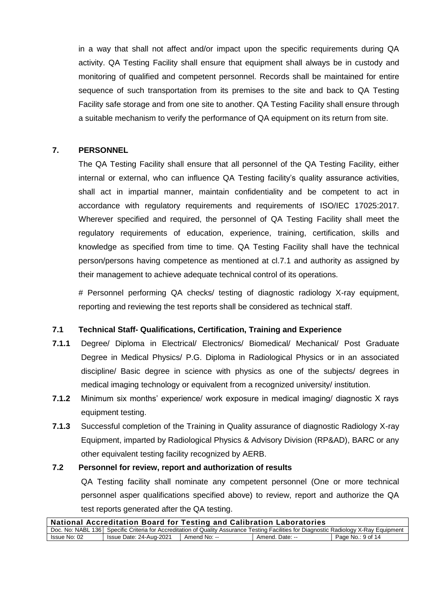in a way that shall not affect and/or impact upon the specific requirements during QA activity. QA Testing Facility shall ensure that equipment shall always be in custody and monitoring of qualified and competent personnel. Records shall be maintained for entire sequence of such transportation from its premises to the site and back to QA Testing Facility safe storage and from one site to another. QA Testing Facility shall ensure through a suitable mechanism to verify the performance of QA equipment on its return from site.

# **7. PERSONNEL**

The QA Testing Facility shall ensure that all personnel of the QA Testing Facility, either internal or external, who can influence QA Testing facility's quality assurance activities, shall act in impartial manner, maintain confidentiality and be competent to act in accordance with regulatory requirements and requirements of ISO/IEC 17025:2017. Wherever specified and required, the personnel of QA Testing Facility shall meet the regulatory requirements of education, experience, training, certification, skills and knowledge as specified from time to time. QA Testing Facility shall have the technical person/persons having competence as mentioned at cl.7.1 and authority as assigned by their management to achieve adequate technical control of its operations.

# Personnel performing QA checks/ testing of diagnostic radiology X-ray equipment, reporting and reviewing the test reports shall be considered as technical staff.

#### **7.1 Technical Staff- Qualifications, Certification, Training and Experience**

- **7.1.1** Degree/ Diploma in Electrical/ Electronics/ Biomedical/ Mechanical/ Post Graduate Degree in Medical Physics/ P.G. Diploma in Radiological Physics or in an associated discipline/ Basic degree in science with physics as one of the subjects/ degrees in medical imaging technology or equivalent from a recognized university/ institution.
- **7.1.2** Minimum six months' experience/ work exposure in medical imaging/ diagnostic X rays equipment testing.
- **7.1.3** Successful completion of the Training in Quality assurance of diagnostic Radiology X-ray Equipment, imparted by Radiological Physics & Advisory Division (RP&AD), BARC or any other equivalent testing facility recognized by AERB.

#### **7.2 Personnel for review, report and authorization of results**

QA Testing facility shall nominate any competent personnel (One or more technical personnel asper qualifications specified above) to review, report and authorize the QA test reports generated after the QA testing.

| <b>National Accreditation Board for Testing and Calibration Laboratories</b>                                                           |                         |              |                 |                   |  |
|----------------------------------------------------------------------------------------------------------------------------------------|-------------------------|--------------|-----------------|-------------------|--|
| Doc. No: NABL 136 Specific Criteria for Accreditation of Quality Assurance Testing Facilities for Diagnostic Radiology X-Ray Equipment |                         |              |                 |                   |  |
| Issue No: 02                                                                                                                           | Issue Date: 24-Aug-2021 | Amend No: -- | Amend. Date: -- | Page No.: 9 of 14 |  |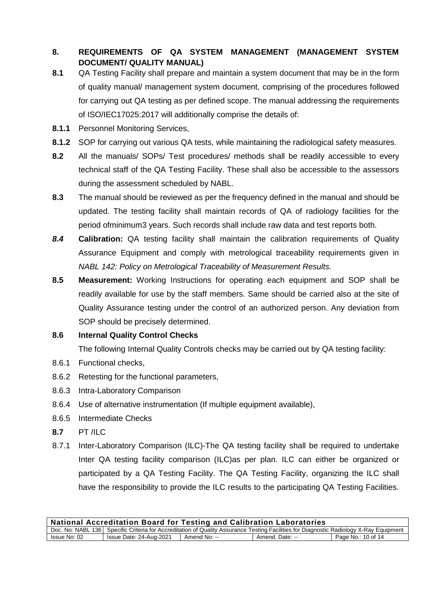# **8. REQUIREMENTS OF QA SYSTEM MANAGEMENT (MANAGEMENT SYSTEM DOCUMENT/ QUALITY MANUAL)**

- **8.1** QA Testing Facility shall prepare and maintain a system document that may be in the form of quality manual/ management system document, comprising of the procedures followed for carrying out QA testing as per defined scope. The manual addressing the requirements of ISO/IEC17025:2017 will additionally comprise the details of:
- **8.1.1** Personnel Monitoring Services,
- **8.1.2** SOP for carrying out various QA tests, while maintaining the radiological safety measures.
- **8.2** All the manuals/ SOPs/ Test procedures/ methods shall be readily accessible to every technical staff of the QA Testing Facility. These shall also be accessible to the assessors during the assessment scheduled by NABL.
- **8.3** The manual should be reviewed as per the frequency defined in the manual and should be updated. The testing facility shall maintain records of QA of radiology facilities for the period ofminimum3 years. Such records shall include raw data and test reports both.
- *8.4* **Calibration:** QA testing facility shall maintain the calibration requirements of Quality Assurance Equipment and comply with metrological traceability requirements given in *NABL 142: Policy on Metrological Traceability of Measurement Results.*
- **8.5 Measurement:** Working Instructions for operating each equipment and SOP shall be readily available for use by the staff members. Same should be carried also at the site of Quality Assurance testing under the control of an authorized person. Any deviation from SOP should be precisely determined.

# **8.6 Internal Quality Control Checks**

The following Internal Quality Controls checks may be carried out by QA testing facility:

- 8.6.1 Functional checks,
- 8.6.2 Retesting for the functional parameters,
- 8.6.3 Intra-Laboratory Comparison
- 8.6.4 Use of alternative instrumentation (If multiple equipment available),
- 8.6.5 Intermediate Checks
- **8.7** PT /ILC
- 8.7.1 Inter-Laboratory Comparison (ILC)-The QA testing facility shall be required to undertake Inter QA testing facility comparison (ILC)as per plan. ILC can either be organized or participated by a QA Testing Facility. The QA Testing Facility, organizing the ILC shall have the responsibility to provide the ILC results to the participating QA Testing Facilities.

| <b>National Accreditation Board for Testing and Calibration Laboratories</b>                                                             |                         |              |                 |                    |  |
|------------------------------------------------------------------------------------------------------------------------------------------|-------------------------|--------------|-----------------|--------------------|--|
| Doc. No: NABL 136   Specific Criteria for Accreditation of Quality Assurance Testing Facilities for Diagnostic Radiology X-Ray Equipment |                         |              |                 |                    |  |
| Issue No: 02                                                                                                                             | Issue Date: 24-Aug-2021 | Amend No: -- | Amend. Date: -- | Page No.: 10 of 14 |  |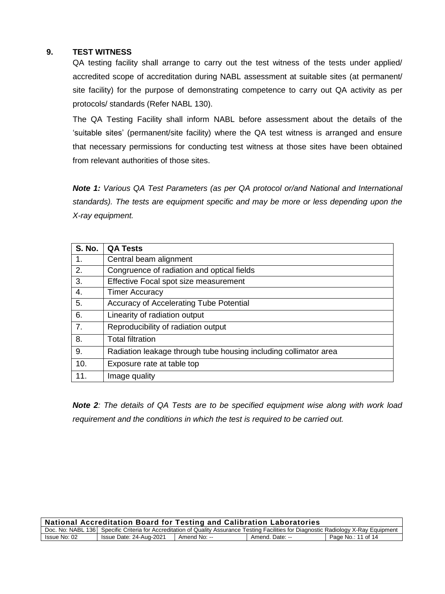### **9. TEST WITNESS**

QA testing facility shall arrange to carry out the test witness of the tests under applied/ accredited scope of accreditation during NABL assessment at suitable sites (at permanent/ site facility) for the purpose of demonstrating competence to carry out QA activity as per protocols/ standards (Refer NABL 130).

The QA Testing Facility shall inform NABL before assessment about the details of the 'suitable sites' (permanent/site facility) where the QA test witness is arranged and ensure that necessary permissions for conducting test witness at those sites have been obtained from relevant authorities of those sites.

*Note 1: Various QA Test Parameters (as per QA protocol or/and National and International standards). The tests are equipment specific and may be more or less depending upon the X-ray equipment.*

| <b>S. No.</b> | <b>QA Tests</b>                                                  |
|---------------|------------------------------------------------------------------|
| 1.            | Central beam alignment                                           |
| 2.            | Congruence of radiation and optical fields                       |
| 3.            | Effective Focal spot size measurement                            |
| 4.            | <b>Timer Accuracy</b>                                            |
| 5.            | Accuracy of Accelerating Tube Potential                          |
| 6.            | Linearity of radiation output                                    |
| 7.            | Reproducibility of radiation output                              |
| 8.            | <b>Total filtration</b>                                          |
| 9.            | Radiation leakage through tube housing including collimator area |
| 10.           | Exposure rate at table top                                       |
| 11.           | Image quality                                                    |

*Note 2: The details of QA Tests are to be specified equipment wise along with work load requirement and the conditions in which the test is required to be carried out.*

| <b>National Accreditation Board for Testing and Calibration Laboratories</b>                                                           |                         |              |                 |                    |  |
|----------------------------------------------------------------------------------------------------------------------------------------|-------------------------|--------------|-----------------|--------------------|--|
| Doc. No: NABL 136 Specific Criteria for Accreditation of Quality Assurance Testing Facilities for Diagnostic Radiology X-Ray Equipment |                         |              |                 |                    |  |
| Issue No: 02                                                                                                                           | Issue Date: 24-Aug-2021 | Amend No: -- | Amend. Date: -- | Page No.: 11 of 14 |  |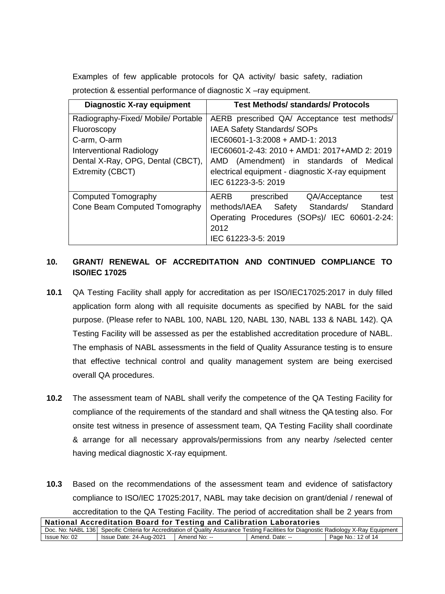Examples of few applicable protocols for QA activity/ basic safety, radiation protection & essential performance of diagnostic X –ray equipment.

| <b>Diagnostic X-ray equipment</b>   | <b>Test Methods/ standards/ Protocols</b>         |  |  |
|-------------------------------------|---------------------------------------------------|--|--|
| Radiography-Fixed/ Mobile/ Portable | AERB prescribed QA/ Acceptance test methods/      |  |  |
| Fluoroscopy                         | <b>IAEA Safety Standards/ SOPs</b>                |  |  |
| C-arm, O-arm                        | IEC60601-1-3:2008 + AMD-1: 2013                   |  |  |
| Interventional Radiology            | IEC60601-2-43: 2010 + AMD1: 2017+AMD 2: 2019      |  |  |
| Dental X-Ray, OPG, Dental (CBCT),   | AMD (Amendment) in standards of Medical           |  |  |
| Extremity (CBCT)                    | electrical equipment - diagnostic X-ray equipment |  |  |
|                                     | IEC 61223-3-5: 2019                               |  |  |
| Computed Tomography                 | QA/Acceptance<br>AERB<br>prescribed<br>test       |  |  |
| Cone Beam Computed Tomography       | Standards/<br>methods/IAEA<br>Safety<br>Standard  |  |  |
|                                     | Operating Procedures (SOPs)/ IEC 60601-2-24:      |  |  |
|                                     | 2012                                              |  |  |
|                                     | IEC 61223-3-5: 2019                               |  |  |

# **10. GRANT/ RENEWAL OF ACCREDITATION AND CONTINUED COMPLIANCE TO ISO/IEC 17025**

- **10.1** QA Testing Facility shall apply for accreditation as per ISO/IEC17025:2017 in duly filled application form along with all requisite documents as specified by NABL for the said purpose. (Please refer to NABL 100, NABL 120, NABL 130, NABL 133 & NABL 142). QA Testing Facility will be assessed as per the established accreditation procedure of NABL. The emphasis of NABL assessments in the field of Quality Assurance testing is to ensure that effective technical control and quality management system are being exercised overall QA procedures.
- **10.2** The assessment team of NABL shall verify the competence of the QA Testing Facility for compliance of the requirements of the standard and shall witness the QA testing also. For onsite test witness in presence of assessment team, QA Testing Facility shall coordinate & arrange for all necessary approvals/permissions from any nearby /selected center having medical diagnostic X-ray equipment.
- **10.3** Based on the recommendations of the assessment team and evidence of satisfactory compliance to ISO/IEC 17025:2017, NABL may take decision on grant/denial / renewal of accreditation to the QA Testing Facility. The period of accreditation shall be 2 years from

| <b>National Accreditation Board for Testing and Calibration Laboratories</b>                                                             |                         |              |                 |                    |  |
|------------------------------------------------------------------------------------------------------------------------------------------|-------------------------|--------------|-----------------|--------------------|--|
| Doc. No: NABL 136   Specific Criteria for Accreditation of Quality Assurance Testing Facilities for Diagnostic Radiology X-Ray Equipment |                         |              |                 |                    |  |
| Issue No: 02                                                                                                                             | Issue Date: 24-Aug-2021 | Amend No: -- | Amend. Date: -- | Page No.: 12 of 14 |  |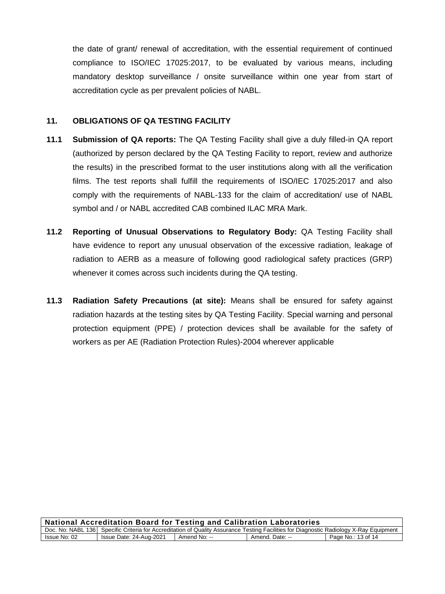the date of grant/ renewal of accreditation, with the essential requirement of continued compliance to ISO/IEC 17025:2017, to be evaluated by various means, including mandatory desktop surveillance / onsite surveillance within one year from start of accreditation cycle as per prevalent policies of NABL.

#### **11. OBLIGATIONS OF QA TESTING FACILITY**

- **11.1 Submission of QA reports:** The QA Testing Facility shall give a duly filled-in QA report (authorized by person declared by the QA Testing Facility to report, review and authorize the results) in the prescribed format to the user institutions along with all the verification films. The test reports shall fulfill the requirements of ISO/IEC 17025:2017 and also comply with the requirements of NABL-133 for the claim of accreditation/ use of NABL symbol and / or NABL accredited CAB combined ILAC MRA Mark.
- **11.2 Reporting of Unusual Observations to Regulatory Body:** QA Testing Facility shall have evidence to report any unusual observation of the excessive radiation, leakage of radiation to AERB as a measure of following good radiological safety practices (GRP) whenever it comes across such incidents during the QA testing.
- **11.3 Radiation Safety Precautions (at site):** Means shall be ensured for safety against radiation hazards at the testing sites by QA Testing Facility. Special warning and personal protection equipment (PPE) / protection devices shall be available for the safety of workers as per AE (Radiation Protection Rules)-2004 wherever applicable

| National Accreditation Board for Testing and Calibration Laboratories                                                                  |                         |              |                 |                    |  |
|----------------------------------------------------------------------------------------------------------------------------------------|-------------------------|--------------|-----------------|--------------------|--|
| Doc. No: NABL 136 Specific Criteria for Accreditation of Quality Assurance Testing Facilities for Diagnostic Radiology X-Ray Equipment |                         |              |                 |                    |  |
| Issue No: 02                                                                                                                           | Issue Date: 24-Aug-2021 | Amend No: -- | Amend. Date: -- | Page No.: 13 of 14 |  |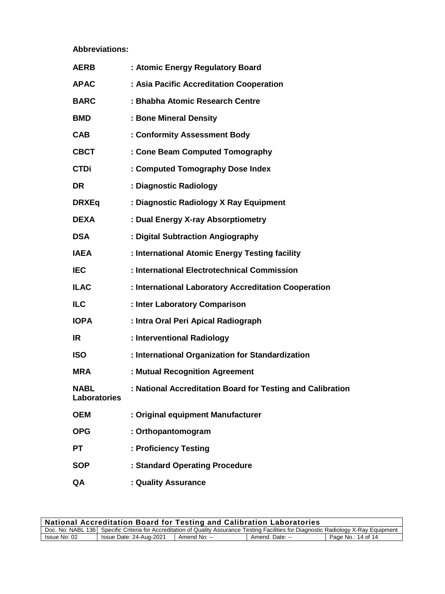**Abbreviations:**

| <b>AERB</b>                        | : Atomic Energy Regulatory Board                           |
|------------------------------------|------------------------------------------------------------|
| <b>APAC</b>                        | : Asia Pacific Accreditation Cooperation                   |
| <b>BARC</b>                        | : Bhabha Atomic Research Centre                            |
| <b>BMD</b>                         | : Bone Mineral Density                                     |
| CAB                                | : Conformity Assessment Body                               |
| <b>CBCT</b>                        | : Cone Beam Computed Tomography                            |
| <b>CTDi</b>                        | : Computed Tomography Dose Index                           |
| <b>DR</b>                          | : Diagnostic Radiology                                     |
| <b>DRXEq</b>                       | : Diagnostic Radiology X Ray Equipment                     |
| <b>DEXA</b>                        | : Dual Energy X-ray Absorptiometry                         |
| <b>DSA</b>                         | : Digital Subtraction Angiography                          |
| <b>IAEA</b>                        | : International Atomic Energy Testing facility             |
| <b>IEC</b>                         | : International Electrotechnical Commission                |
| <b>ILAC</b>                        | : International Laboratory Accreditation Cooperation       |
| <b>ILC</b>                         | : Inter Laboratory Comparison                              |
| <b>IOPA</b>                        | : Intra Oral Peri Apical Radiograph                        |
| IR.                                | : Interventional Radiology                                 |
| <b>ISO</b>                         | : International Organization for Standardization           |
| <b>MRA</b>                         | : Mutual Recognition Agreement                             |
| <b>NABL</b><br><b>Laboratories</b> | : National Accreditation Board for Testing and Calibration |
| <b>OEM</b>                         | : Original equipment Manufacturer                          |
| <b>OPG</b>                         | : Orthopantomogram                                         |
| <b>PT</b>                          | : Proficiency Testing                                      |
| <b>SOP</b>                         | : Standard Operating Procedure                             |
| QA                                 | : Quality Assurance                                        |

| <b>National Accreditation Board for Testing and Calibration Laboratories</b>                                                           |                         |              |                 |                    |  |
|----------------------------------------------------------------------------------------------------------------------------------------|-------------------------|--------------|-----------------|--------------------|--|
| Doc. No: NABL 136 Specific Criteria for Accreditation of Quality Assurance Testing Facilities for Diagnostic Radiology X-Ray Equipment |                         |              |                 |                    |  |
| Issue No: 02                                                                                                                           | Issue Date: 24-Aug-2021 | Amend No: -- | Amend. Date: -- | Page No.: 14 of 14 |  |